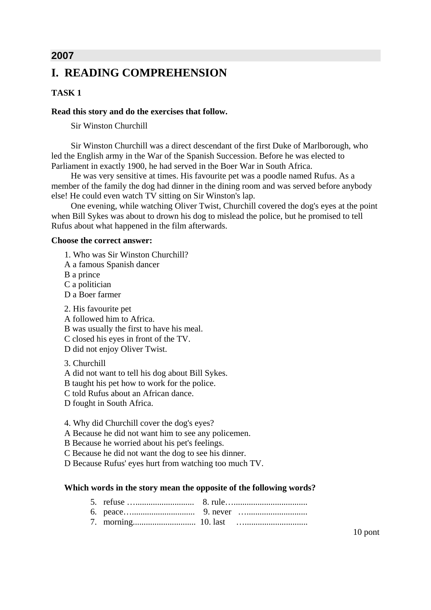# **2007 I. READING COMPREHENSION**

### **TASK 1**

### **Read this story and do the exercises that follow.**

Sir Winston Churchill

Sir Winston Churchill was a direct descendant of the first Duke of Marlborough, who led the English army in the War of the Spanish Succession. Before he was elected to Parliament in exactly 1900, he had served in the Boer War in South Africa.

He was very sensitive at times. His favourite pet was a poodle named Rufus. As a member of the family the dog had dinner in the dining room and was served before anybody else! He could even watch TV sitting on Sir Winston's lap.

One evening, while watching Oliver Twist, Churchill covered the dog's eyes at the point when Bill Sykes was about to drown his dog to mislead the police, but he promised to tell Rufus about what happened in the film afterwards.

#### **Choose the correct answer:**

- 1. Who was Sir Winston Churchill?
- A a famous Spanish dancer
- B a prince
- C a politician
- D a Boer farmer

2. His favourite pet

A followed him to Africa.

B was usually the first to have his meal.

C closed his eyes in front of the TV.

- D did not enjoy Oliver Twist.
- 3. Churchill
- A did not want to tell his dog about Bill Sykes.

B taught his pet how to work for the police.

- C told Rufus about an African dance.
- D fought in South Africa.
- 4. Why did Churchill cover the dog's eyes?
- A Because he did not want him to see any policemen.
- B Because he worried about his pet's feelings.
- C Because he did not want the dog to see his dinner.
- D Because Rufus' eyes hurt from watching too much TV.

### **Which words in the story mean the opposite of the following words?**

10 pont